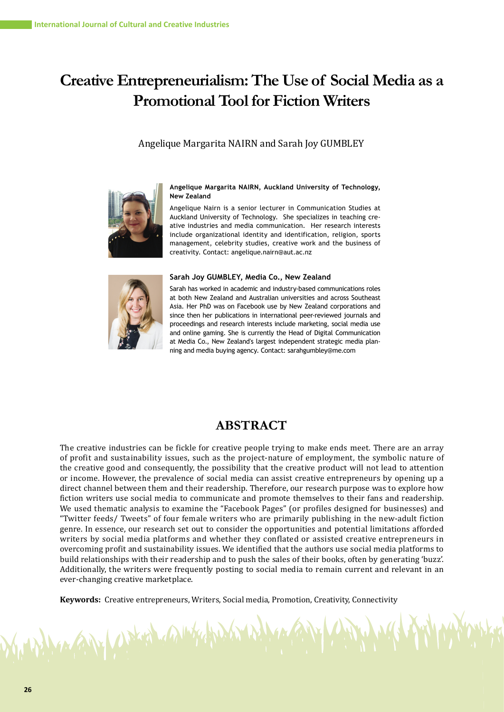# **Creative Entrepreneurialism: The Use of Social Media as a Promotional Tool for Fiction Writers**

# Angelique Margarita NAIRN and Sarah Joy GUMBLEY



#### **Angelique Margarita NAIRN, Auckland University of Technology, New Zealand**

Angelique Nairn is a senior lecturer in Communication Studies at Auckland University of Technology. She specializes in teaching creative industries and media communication. Her research interests include organizational identity and identification, religion, sports management, celebrity studies, creative work and the business of creativity. Contact: angelique.nairn@aut.ac.nz



v Which Al

#### **Sarah Joy GUMBLEY, Media Co., New Zealand**

Sarah has worked in academic and industry-based communications roles at both New Zealand and Australian universities and across Southeast Asia. Her PhD was on Facebook use by New Zealand corporations and since then her publications in international peer-reviewed journals and proceedings and research interests include marketing, social media use and online gaming. She is currently the Head of Digital Communication at Media Co., New Zealand's largest independent strategic media planning and media buying agency. Contact: sarahgumbley@me.com

# **ABSTRACT**

The creative industries can be fickle for creative people trying to make ends meet. There are an array of profit and sustainability issues, such as the project-nature of employment, the symbolic nature of the creative good and consequently, the possibility that the creative product will not lead to attention or income. However, the prevalence of social media can assist creative entrepreneurs by opening up a direct channel between them and their readership. Therefore, our research purpose was to explore how fiction writers use social media to communicate and promote themselves to their fans and readership. We used thematic analysis to examine the "Facebook Pages" (or profiles designed for businesses) and "Twitter feeds/ Tweets" of four female writers who are primarily publishing in the new-adult fiction genre. In essence, our research set out to consider the opportunities and potential limitations afforded writers by social media platforms and whether they conflated or assisted creative entrepreneurs in overcoming profit and sustainability issues. We identified that the authors use social media platforms to build relationships with their readership and to push the sales of their books, often by generating 'buzz'. Additionally, the writers were frequently posting to social media to remain current and relevant in an ever-changing creative marketplace.

**Keywords:** Creative entrepreneurs, Writers, Social media, Promotion, Creativity, Connectivity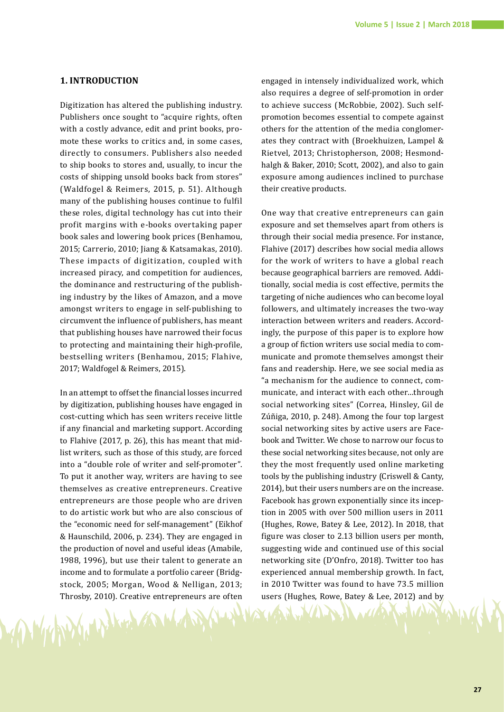## **1. INTRODUCTION**

Digitization has altered the publishing industry. Publishers once sought to "acquire rights, often with a costly advance, edit and print books, promote these works to critics and, in some cases, directly to consumers. Publishers also needed to ship books to stores and, usually, to incur the costs of shipping unsold books back from stores" (Waldfogel & Reimers, 2015, p. 51). Although many of the publishing houses continue to fulfil these roles, digital technology has cut into their profit margins with e-books overtaking paper book sales and lowering book prices (Benhamou, 2015; Carrerio, 2010; Jiang & Katsamakas, 2010). These impacts of digitization, coupled with increased piracy, and competition for audiences, the dominance and restructuring of the publishing industry by the likes of Amazon, and a move amongst writers to engage in self-publishing to circumvent the influence of publishers, has meant that publishing houses have narrowed their focus to protecting and maintaining their high-profile, bestselling writers (Benhamou, 2015; Flahive, 2017; Waldfogel & Reimers, 2015).

In an attempt to offset the financial losses incurred by digitization, publishing houses have engaged in cost-cutting which has seen writers receive little if any financial and marketing support. According to Flahive (2017, p. 26), this has meant that midlist writers, such as those of this study, are forced into a "double role of writer and self-promoter". To put it another way, writers are having to see themselves as creative entrepreneurs. Creative entrepreneurs are those people who are driven to do artistic work but who are also conscious of the "economic need for self-management" (Eikhof & Haunschild, 2006, p. 234). They are engaged in the production of novel and useful ideas (Amabile, 1988, 1996), but use their talent to generate an income and to formulate a portfolio career (Bridgstock, 2005; Morgan, Wood & Nelligan, 2013; Throsby, 2010). Creative entrepreneurs are often

engaged in intensely individualized work, which also requires a degree of self-promotion in order to achieve success (McRobbie, 2002). Such selfpromotion becomes essential to compete against others for the attention of the media conglomerates they contract with (Broekhuizen, Lampel & Rietvel, 2013; Christopherson, 2008; Hesmondhalgh & Baker, 2010; Scott, 2002), and also to gain exposure among audiences inclined to purchase their creative products.

One way that creative entrepreneurs can gain exposure and set themselves apart from others is through their social media presence. For instance, Flahive (2017) describes how social media allows for the work of writers to have a global reach because geographical barriers are removed. Additionally, social media is cost effective, permits the targeting of niche audiences who can become loyal followers, and ultimately increases the two-way interaction between writers and readers. Accordingly, the purpose of this paper is to explore how a group of fiction writers use social media to communicate and promote themselves amongst their fans and readership. Here, we see social media as "a mechanism for the audience to connect, communicate, and interact with each other…through social networking sites" (Correa, Hinsley, Gil de Zúñiga, 2010, p. 248). Among the four top largest social networking sites by active users are Facebook and Twitter. We chose to narrow our focus to these social networking sites because, not only are they the most frequently used online marketing tools by the publishing industry (Criswell & Canty, 2014), but their users numbers are on the increase. Facebook has grown exponentially since its inception in 2005 with over 500 million users in 2011 (Hughes, Rowe, Batey & Lee, 2012). In 2018, that figure was closer to 2.13 billion users per month, suggesting wide and continued use of this social networking site (D'Onfro, 2018). Twitter too has experienced annual membership growth. In fact, in 2010 Twitter was found to have 73.5 million users (Hughes, Rowe, Batey & Lee, 2012) and by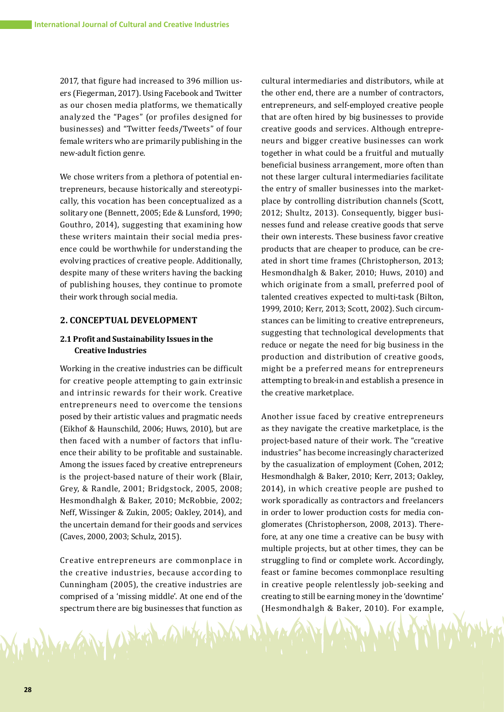2017, that figure had increased to 396 million users (Fiegerman, 2017). Using Facebook and Twitter as our chosen media platforms, we thematically analyzed the "Pages" (or profiles designed for businesses) and "Twitter feeds/Tweets" of four female writers who are primarily publishing in the new-adult fiction genre.

We chose writers from a plethora of potential entrepreneurs, because historically and stereotypically, this vocation has been conceptualized as a solitary one (Bennett, 2005; Ede & Lunsford, 1990; Gouthro, 2014), suggesting that examining how these writers maintain their social media presence could be worthwhile for understanding the evolving practices of creative people. Additionally, despite many of these writers having the backing of publishing houses, they continue to promote their work through social media.

# **2. CONCEPTUAL DEVELOPMENT**

# **2.1 Profit and Sustainability Issues in the Creative Industries**

Working in the creative industries can be difficult for creative people attempting to gain extrinsic and intrinsic rewards for their work. Creative entrepreneurs need to overcome the tensions posed by their artistic values and pragmatic needs (Eikhof & Haunschild, 2006; Huws, 2010), but are then faced with a number of factors that influence their ability to be profitable and sustainable. Among the issues faced by creative entrepreneurs is the project-based nature of their work (Blair, Grey, & Randle, 2001; Bridgstock, 2005, 2008; Hesmondhalgh & Baker, 2010; McRobbie, 2002; Neff, Wissinger & Zukin, 2005; Oakley, 2014), and the uncertain demand for their goods and services (Caves, 2000, 2003; Schulz, 2015).

Creative entrepreneurs are commonplace in the creative industries, because according to Cunningham (2005), the creative industries are comprised of a 'missing middle'. At one end of the spectrum there are big businesses that function as

MAN UPHA

cultural intermediaries and distributors, while at the other end, there are a number of contractors, entrepreneurs, and self-employed creative people that are often hired by big businesses to provide creative goods and services. Although entrepreneurs and bigger creative businesses can work together in what could be a fruitful and mutually beneficial business arrangement, more often than not these larger cultural intermediaries facilitate the entry of smaller businesses into the marketplace by controlling distribution channels (Scott, 2012; Shultz, 2013). Consequently, bigger businesses fund and release creative goods that serve their own interests. These business favor creative products that are cheaper to produce, can be created in short time frames (Christopherson, 2013; Hesmondhalgh & Baker, 2010; Huws, 2010) and which originate from a small, preferred pool of talented creatives expected to multi-task (Bilton, 1999, 2010; Kerr, 2013; Scott, 2002). Such circumstances can be limiting to creative entrepreneurs, suggesting that technological developments that reduce or negate the need for big business in the production and distribution of creative goods, might be a preferred means for entrepreneurs attempting to break-in and establish a presence in the creative marketplace.

Another issue faced by creative entrepreneurs as they navigate the creative marketplace, is the project-based nature of their work. The "creative industries" has become increasingly characterized by the casualization of employment (Cohen, 2012; Hesmondhalgh & Baker, 2010; Kerr, 2013; Oakley, 2014), in which creative people are pushed to work sporadically as contractors and freelancers in order to lower production costs for media conglomerates (Christopherson, 2008, 2013). Therefore, at any one time a creative can be busy with multiple projects, but at other times, they can be struggling to find or complete work. Accordingly, feast or famine becomes commonplace resulting in creative people relentlessly job-seeking and creating to still be earning money in the 'downtime' (Hesmondhalgh & Baker, 2010). For example,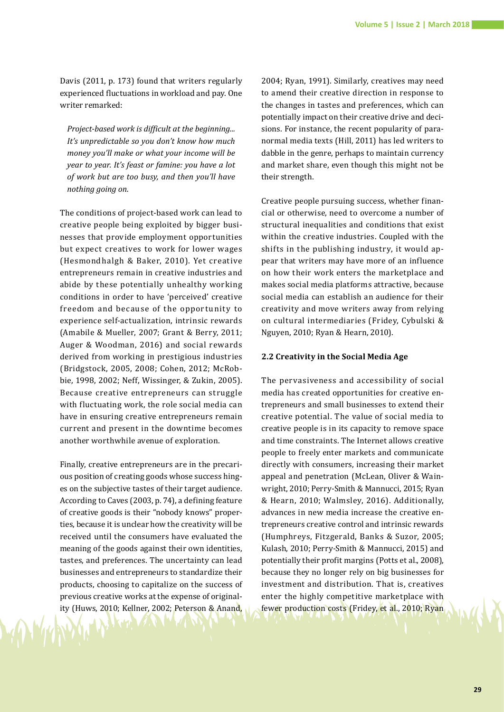Davis (2011, p. 173) found that writers regularly experienced fluctuations in workload and pay. One writer remarked:

*Project‐based work is difficult at the beginning... It's unpredictable so you don't know how much money you'll make or what your income will be year to year. It's feast or famine: you have a lot of work but are too busy, and then you'll have nothing going on.* 

The conditions of project-based work can lead to creative people being exploited by bigger businesses that provide employment opportunities but expect creatives to work for lower wages (Hesmondhalgh & Baker, 2010). Yet creative entrepreneurs remain in creative industries and abide by these potentially unhealthy working conditions in order to have 'perceived' creative freedom and because of the opportunity to experience self-actualization, intrinsic rewards (Amabile & Mueller, 2007; Grant & Berry, 2011; Auger & Woodman, 2016) and social rewards derived from working in prestigious industries (Bridgstock, 2005, 2008; Cohen, 2012; McRobbie, 1998, 2002; Neff, Wissinger, & Zukin, 2005). Because creative entrepreneurs can struggle with fluctuating work, the role social media can have in ensuring creative entrepreneurs remain current and present in the downtime becomes another worthwhile avenue of exploration.

Finally, creative entrepreneurs are in the precarious position of creating goods whose success hinges on the subjective tastes of their target audience. According to Caves (2003, p. 74), a defining feature of creative goods is their "nobody knows" properties, because it is unclear how the creativity will be received until the consumers have evaluated the meaning of the goods against their own identities, tastes, and preferences. The uncertainty can lead businesses and entrepreneurs to standardize their products, choosing to capitalize on the success of previous creative works at the expense of originality (Huws, 2010; Kellner, 2002; Peterson & Anand,

2004; Ryan, 1991). Similarly, creatives may need to amend their creative direction in response to the changes in tastes and preferences, which can potentially impact on their creative drive and decisions. For instance, the recent popularity of paranormal media texts (Hill, 2011) has led writers to dabble in the genre, perhaps to maintain currency and market share, even though this might not be their strength.

Creative people pursuing success, whether financial or otherwise, need to overcome a number of structural inequalities and conditions that exist within the creative industries. Coupled with the shifts in the publishing industry, it would appear that writers may have more of an influence on how their work enters the marketplace and makes social media platforms attractive, because social media can establish an audience for their creativity and move writers away from relying on cultural intermediaries (Fridey, Cybulski & Nguyen, 2010; Ryan & Hearn, 2010).

# **2.2 Creativity in the Social Media Age**

The pervasiveness and accessibility of social media has created opportunities for creative entrepreneurs and small businesses to extend their creative potential. The value of social media to creative people is in its capacity to remove space and time constraints. The Internet allows creative people to freely enter markets and communicate directly with consumers, increasing their market appeal and penetration (McLean, Oliver & Wainwright, 2010; Perry-Smith & Mannucci, 2015; Ryan & Hearn, 2010; Walmsley, 2016). Additionally, advances in new media increase the creative entrepreneurs creative control and intrinsic rewards (Humphreys, Fitzgerald, Banks & Suzor, 2005; Kulash, 2010; Perry-Smith & Mannucci, 2015) and potentially their profit margins (Potts et al., 2008), because they no longer rely on big businesses for investment and distribution. That is, creatives enter the highly competitive marketplace with fewer production costs (Fridey, et al., 2010; Ryan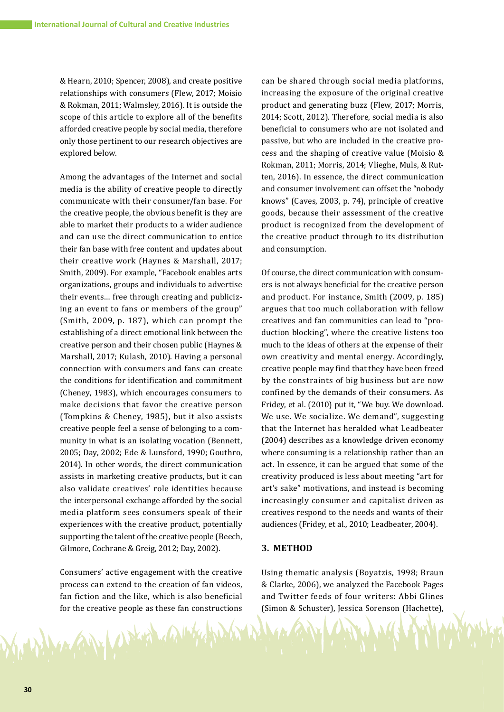& Hearn, 2010; Spencer, 2008), and create positive relationships with consumers (Flew, 2017; Moisio & Rokman, 2011; Walmsley, 2016). It is outside the scope of this article to explore all of the benefits afforded creative people by social media, therefore only those pertinent to our research objectives are explored below.

Among the advantages of the Internet and social media is the ability of creative people to directly communicate with their consumer/fan base. For the creative people, the obvious benefit is they are able to market their products to a wider audience and can use the direct communication to entice their fan base with free content and updates about their creative work (Haynes & Marshall, 2017; Smith, 2009). For example, "Facebook enables arts organizations, groups and individuals to advertise their events… free through creating and publicizing an event to fans or members of the group" (Smith, 2009, p. 187), which can prompt the establishing of a direct emotional link between the creative person and their chosen public (Haynes & Marshall, 2017; Kulash, 2010). Having a personal connection with consumers and fans can create the conditions for identification and commitment (Cheney, 1983), which encourages consumers to make decisions that favor the creative person (Tompkins & Cheney, 1985), but it also assists creative people feel a sense of belonging to a community in what is an isolating vocation (Bennett, 2005; Day, 2002; Ede & Lunsford, 1990; Gouthro, 2014). In other words, the direct communication assists in marketing creative products, but it can also validate creatives' role identities because the interpersonal exchange afforded by the social media platform sees consumers speak of their experiences with the creative product, potentially supporting the talent of the creative people (Beech, Gilmore, Cochrane & Greig, 2012; Day, 2002).

Consumers' active engagement with the creative process can extend to the creation of fan videos, fan fiction and the like, which is also beneficial for the creative people as these fan constructions

AN WHA

can be shared through social media platforms, increasing the exposure of the original creative product and generating buzz (Flew, 2017; Morris, 2014; Scott, 2012). Therefore, social media is also beneficial to consumers who are not isolated and passive, but who are included in the creative process and the shaping of creative value (Moisio & Rokman, 2011; Morris, 2014; Vlieghe, Muls, & Rutten, 2016). In essence, the direct communication and consumer involvement can offset the "nobody knows" (Caves, 2003, p. 74), principle of creative goods, because their assessment of the creative product is recognized from the development of the creative product through to its distribution and consumption.

Of course, the direct communication with consumers is not always beneficial for the creative person and product. For instance, Smith (2009, p. 185) argues that too much collaboration with fellow creatives and fan communities can lead to "production blocking", where the creative listens too much to the ideas of others at the expense of their own creativity and mental energy. Accordingly, creative people may find that they have been freed by the constraints of big business but are now confined by the demands of their consumers. As Fridey, et al. (2010) put it, "We buy. We download. We use. We socialize. We demand", suggesting that the Internet has heralded what Leadbeater (2004) describes as a knowledge driven economy where consuming is a relationship rather than an act. In essence, it can be argued that some of the creativity produced is less about meeting "art for art's sake" motivations, and instead is becoming increasingly consumer and capitalist driven as creatives respond to the needs and wants of their audiences (Fridey, et al., 2010; Leadbeater, 2004).

#### **3. METHOD**

Using thematic analysis (Boyatzis, 1998; Braun & Clarke, 2006), we analyzed the Facebook Pages and Twitter feeds of four writers: Abbi Glines (Simon & Schuster), Jessica Sorenson (Hachette),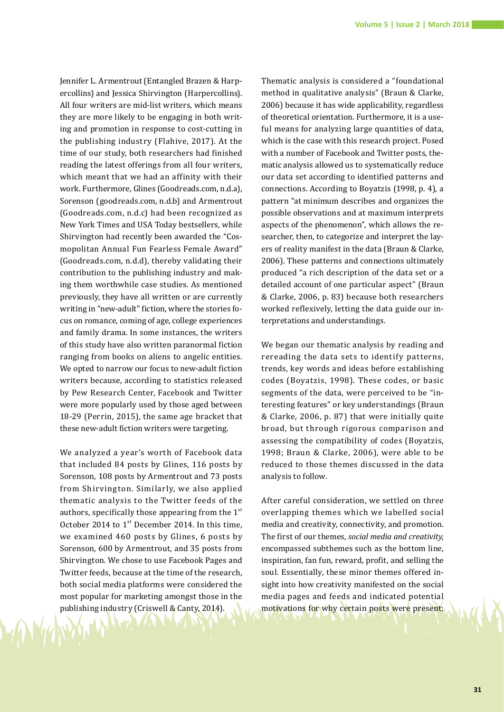Jennifer L. Armentrout (Entangled Brazen & Harpercollins) and Jessica Shirvington (Harpercollins). All four writers are mid-list writers, which means they are more likely to be engaging in both writing and promotion in response to cost-cutting in the publishing industry (Flahive, 2017). At the time of our study, both researchers had finished reading the latest offerings from all four writers, which meant that we had an affinity with their work. Furthermore, Glines (Goodreads.com, n.d.a), Sorenson (goodreads.com, n.d.b) and Armentrout (Goodreads.com, n.d.c) had been recognized as New York Times and USA Today bestsellers, while Shirvington had recently been awarded the "Cosmopolitan Annual Fun Fearless Female Award" (Goodreads.com, n.d.d), thereby validating their contribution to the publishing industry and making them worthwhile case studies. As mentioned previously, they have all written or are currently writing in "new-adult" fiction, where the stories focus on romance, coming of age, college experiences and family drama. In some instances, the writers of this study have also written paranormal fiction ranging from books on aliens to angelic entities. We opted to narrow our focus to new-adult fiction writers because, according to statistics released by Pew Research Center, Facebook and Twitter were more popularly used by those aged between 18-29 (Perrin, 2015), the same age bracket that these new-adult fiction writers were targeting.

We analyzed a year's worth of Facebook data that included 84 posts by Glines, 116 posts by Sorenson, 108 posts by Armentrout and 73 posts from Shirvington. Similarly, we also applied thematic analysis to the Twitter feeds of the authors, specifically those appearing from the  $1<sup>st</sup>$ October 2014 to  $1<sup>st</sup>$  December 2014. In this time, we examined 460 posts by Glines, 6 posts by Sorenson, 600 by Armentrout, and 35 posts from Shirvington. We chose to use Facebook Pages and Twitter feeds, because at the time of the research, both social media platforms were considered the most popular for marketing amongst those in the publishing industry (Criswell & Canty, 2014).

Thematic analysis is considered a "foundational method in qualitative analysis" (Braun & Clarke, 2006) because it has wide applicability, regardless of theoretical orientation. Furthermore, it is a useful means for analyzing large quantities of data, which is the case with this research project. Posed with a number of Facebook and Twitter posts, thematic analysis allowed us to systematically reduce our data set according to identified patterns and connections. According to Boyatzis (1998, p. 4), a pattern "at minimum describes and organizes the possible observations and at maximum interprets aspects of the phenomenon", which allows the researcher, then, to categorize and interpret the layers of reality manifest in the data (Braun & Clarke, 2006). These patterns and connections ultimately produced "a rich description of the data set or a detailed account of one particular aspect" (Braun & Clarke, 2006, p. 83) because both researchers worked reflexively, letting the data guide our interpretations and understandings.

We began our thematic analysis by reading and rereading the data sets to identify patterns, trends, key words and ideas before establishing codes (Boyatzis, 1998). These codes, or basic segments of the data, were perceived to be "interesting features" or key understandings (Braun & Clarke, 2006, p. 87) that were initially quite broad, but through rigorous comparison and assessing the compatibility of codes (Boyatzis, 1998; Braun & Clarke, 2006), were able to be reduced to those themes discussed in the data analysis to follow.

After careful consideration, we settled on three overlapping themes which we labelled social media and creativity, connectivity, and promotion. The first of our themes, *social media and creativity*, encompassed subthemes such as the bottom line, inspiration, fan fun, reward, profit, and selling the soul. Essentially, these minor themes offered insight into how creativity manifested on the social media pages and feeds and indicated potential motivations for why certain posts were present;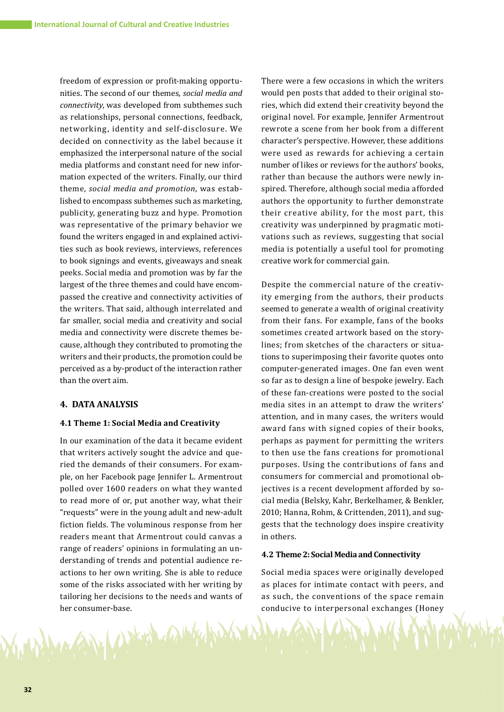freedom of expression or profit-making opportunities. The second of our themes, *social media and connectivity*, was developed from subthemes such as relationships, personal connections, feedback, networking, identity and self-disclosure. We decided on connectivity as the label because it emphasized the interpersonal nature of the social media platforms and constant need for new information expected of the writers. Finally, our third theme, *social media and promotion*, was established to encompass subthemes such as marketing, publicity, generating buzz and hype. Promotion was representative of the primary behavior we found the writers engaged in and explained activities such as book reviews, interviews, references to book signings and events, giveaways and sneak peeks. Social media and promotion was by far the largest of the three themes and could have encompassed the creative and connectivity activities of the writers. That said, although interrelated and far smaller, social media and creativity and social media and connectivity were discrete themes because, although they contributed to promoting the writers and their products, the promotion could be perceived as a by-product of the interaction rather than the overt aim.

# **4. DATA ANALYSIS**

#### **4.1 Theme 1: Social Media and Creativity**

In our examination of the data it became evident that writers actively sought the advice and queried the demands of their consumers. For example, on her Facebook page Jennifer L. Armentrout polled over 1600 readers on what they wanted to read more of or, put another way, what their "requests" were in the young adult and new-adult fiction fields. The voluminous response from her readers meant that Armentrout could canvas a range of readers' opinions in formulating an understanding of trends and potential audience reactions to her own writing. She is able to reduce some of the risks associated with her writing by tailoring her decisions to the needs and wants of her consumer-base.

AN UPHA AMA

There were a few occasions in which the writers would pen posts that added to their original stories, which did extend their creativity beyond the original novel. For example, Jennifer Armentrout rewrote a scene from her book from a different character's perspective. However, these additions were used as rewards for achieving a certain number of likes or reviews for the authors' books, rather than because the authors were newly inspired. Therefore, although social media afforded authors the opportunity to further demonstrate their creative ability, for the most part, this creativity was underpinned by pragmatic motivations such as reviews, suggesting that social media is potentially a useful tool for promoting creative work for commercial gain.

Despite the commercial nature of the creativity emerging from the authors, their products seemed to generate a wealth of original creativity from their fans. For example, fans of the books sometimes created artwork based on the storylines; from sketches of the characters or situations to superimposing their favorite quotes onto computer-generated images. One fan even went so far as to design a line of bespoke jewelry. Each of these fan-creations were posted to the social media sites in an attempt to draw the writers' attention, and in many cases, the writers would award fans with signed copies of their books, perhaps as payment for permitting the writers to then use the fans creations for promotional purposes. Using the contributions of fans and consumers for commercial and promotional objectives is a recent development afforded by social media (Belsky, Kahr, Berkelhamer, & Benkler, 2010; Hanna, Rohm, & Crittenden, 2011), and suggests that the technology does inspire creativity in others.

#### **4.2 Theme 2: Social Media and Connectivity**

Social media spaces were originally developed as places for intimate contact with peers, and as such, the conventions of the space remain conducive to interpersonal exchanges (Honey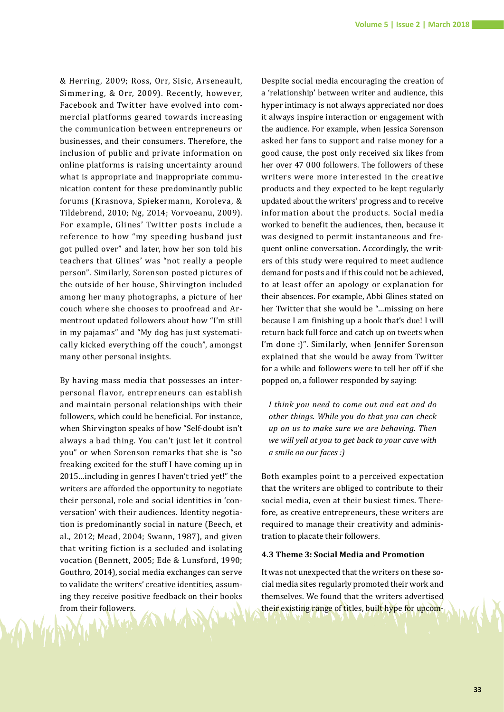& Herring, 2009; Ross, Orr, Sisic, Arseneault, Simmering, & Orr, 2009). Recently, however, Facebook and Twitter have evolved into commercial platforms geared towards increasing the communication between entrepreneurs or businesses, and their consumers. Therefore, the inclusion of public and private information on online platforms is raising uncertainty around what is appropriate and inappropriate communication content for these predominantly public forums (Krasnova, Spiekermann, Koroleva, & Tildebrend, 2010; Ng, 2014; Vorvoeanu, 2009). For example, Glines' Twitter posts include a reference to how "my speeding husband just got pulled over" and later, how her son told his teachers that Glines' was "not really a people person". Similarly, Sorenson posted pictures of the outside of her house, Shirvington included among her many photographs, a picture of her couch where she chooses to proofread and Armentrout updated followers about how "I'm still in my pajamas" and "My dog has just systematically kicked everything off the couch", amongst many other personal insights.

By having mass media that possesses an interpersonal flavor, entrepreneurs can establish and maintain personal relationships with their followers, which could be beneficial. For instance, when Shirvington speaks of how "Self-doubt isn't always a bad thing. You can't just let it control you" or when Sorenson remarks that she is "so freaking excited for the stuff I have coming up in 2015…including in genres I haven't tried yet!" the writers are afforded the opportunity to negotiate their personal, role and social identities in 'conversation' with their audiences. Identity negotiation is predominantly social in nature (Beech, et al., 2012; Mead, 2004; Swann, 1987), and given that writing fiction is a secluded and isolating vocation (Bennett, 2005; Ede & Lunsford, 1990; Gouthro, 2014), social media exchanges can serve to validate the writers' creative identities, assuming they receive positive feedback on their books from their followers.

Despite social media encouraging the creation of a 'relationship' between writer and audience, this hyper intimacy is not always appreciated nor does it always inspire interaction or engagement with the audience. For example, when Jessica Sorenson asked her fans to support and raise money for a good cause, the post only received six likes from her over 47 000 followers. The followers of these writers were more interested in the creative products and they expected to be kept regularly updated about the writers' progress and to receive information about the products. Social media worked to benefit the audiences, then, because it was designed to permit instantaneous and frequent online conversation. Accordingly, the writers of this study were required to meet audience demand for posts and if this could not be achieved, to at least offer an apology or explanation for their absences. For example, Abbi Glines stated on her Twitter that she would be "…missing on here because I am finishing up a book that's due! I will return back full force and catch up on tweets when I'm done :)". Similarly, when Jennifer Sorenson explained that she would be away from Twitter for a while and followers were to tell her off if she popped on, a follower responded by saying:

*I think you need to come out and eat and do other things. While you do that you can check up on us to make sure we are behaving. Then we will yell at you to get back to your cave with a smile on our faces :)* 

Both examples point to a perceived expectation that the writers are obliged to contribute to their social media, even at their busiest times. Therefore, as creative entrepreneurs, these writers are required to manage their creativity and administration to placate their followers.

#### **4.3 Theme 3: Social Media and Promotion**

It was not unexpected that the writers on these social media sites regularly promoted their work and themselves. We found that the writers advertised their existing range of titles, built hype for upcom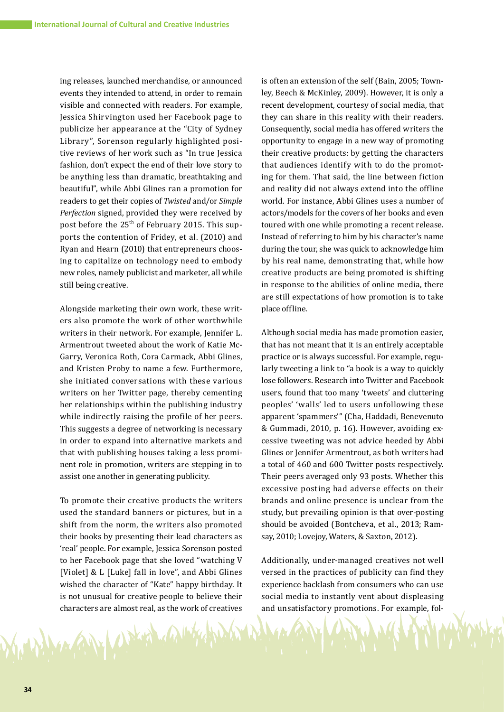ing releases, launched merchandise, or announced events they intended to attend, in order to remain visible and connected with readers. For example, Jessica Shirvington used her Facebook page to publicize her appearance at the "City of Sydney Library", Sorenson regularly highlighted positive reviews of her work such as "In true Jessica fashion, don't expect the end of their love story to be anything less than dramatic, breathtaking and beautiful", while Abbi Glines ran a promotion for readers to get their copies of *Twisted* and/or *Simple Perfection* signed, provided they were received by post before the 25<sup>th</sup> of February 2015. This supports the contention of Fridey, et al. (2010) and Ryan and Hearn (2010) that entrepreneurs choosing to capitalize on technology need to embody new roles, namely publicist and marketer, all while still being creative.

Alongside marketing their own work, these writers also promote the work of other worthwhile writers in their network. For example, Jennifer L. Armentrout tweeted about the work of Katie Mc-Garry, Veronica Roth, Cora Carmack, Abbi Glines, and Kristen Proby to name a few. Furthermore, she initiated conversations with these various writers on her Twitter page, thereby cementing her relationships within the publishing industry while indirectly raising the profile of her peers. This suggests a degree of networking is necessary in order to expand into alternative markets and that with publishing houses taking a less prominent role in promotion, writers are stepping in to assist one another in generating publicity.

To promote their creative products the writers used the standard banners or pictures, but in a shift from the norm, the writers also promoted their books by presenting their lead characters as 'real' people. For example, Jessica Sorenson posted to her Facebook page that she loved "watching V [Violet] & L [Luke] fall in love", and Abbi Glines wished the character of "Kate" happy birthday. It is not unusual for creative people to believe their characters are almost real, as the work of creatives

1 Print

is often an extension of the self (Bain, 2005; Townley, Beech & McKinley, 2009). However, it is only a recent development, courtesy of social media, that they can share in this reality with their readers. Consequently, social media has offered writers the opportunity to engage in a new way of promoting their creative products: by getting the characters that audiences identify with to do the promoting for them. That said, the line between fiction and reality did not always extend into the offline world. For instance, Abbi Glines uses a number of actors/models for the covers of her books and even toured with one while promoting a recent release. Instead of referring to him by his character's name during the tour, she was quick to acknowledge him by his real name, demonstrating that, while how creative products are being promoted is shifting in response to the abilities of online media, there are still expectations of how promotion is to take place offline.

Although social media has made promotion easier, that has not meant that it is an entirely acceptable practice or is always successful. For example, regularly tweeting a link to "a book is a way to quickly lose followers. Research into Twitter and Facebook users, found that too many 'tweets' and cluttering peoples' 'walls' led to users unfollowing these apparent 'spammers'" (Cha, Haddadi, Benevenuto & Gummadi, 2010, p. 16). However, avoiding excessive tweeting was not advice heeded by Abbi Glines or Jennifer Armentrout, as both writers had a total of 460 and 600 Twitter posts respectively. Their peers averaged only 93 posts. Whether this excessive posting had adverse effects on their brands and online presence is unclear from the study, but prevailing opinion is that over-posting should be avoided (Bontcheva, et al., 2013; Ramsay, 2010; Lovejoy, Waters, & Saxton, 2012).

Additionally, under-managed creatives not well versed in the practices of publicity can find they experience backlash from consumers who can use social media to instantly vent about displeasing and unsatisfactory promotions. For example, fol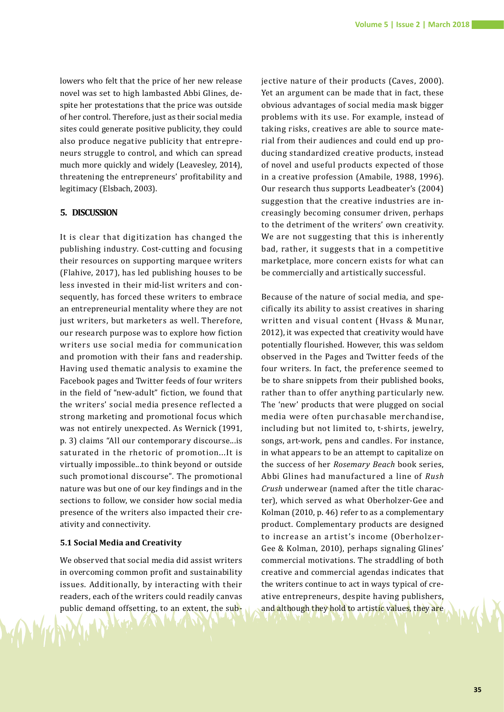lowers who felt that the price of her new release novel was set to high lambasted Abbi Glines, despite her protestations that the price was outside of her control. Therefore, just as their social media sites could generate positive publicity, they could also produce negative publicity that entrepreneurs struggle to control, and which can spread much more quickly and widely (Leavesley, 2014), threatening the entrepreneurs' profitability and legitimacy (Elsbach, 2003).

# **5. DISCUSSION**

It is clear that digitization has changed the publishing industry. Cost-cutting and focusing their resources on supporting marquee writers (Flahive, 2017), has led publishing houses to be less invested in their mid-list writers and consequently, has forced these writers to embrace an entrepreneurial mentality where they are not just writers, but marketers as well. Therefore, our research purpose was to explore how fiction writers use social media for communication and promotion with their fans and readership. Having used thematic analysis to examine the Facebook pages and Twitter feeds of four writers in the field of "new-adult" fiction, we found that the writers' social media presence reflected a strong marketing and promotional focus which was not entirely unexpected. As Wernick (1991, p. 3) claims "All our contemporary discourse...is saturated in the rhetoric of promotion...It is virtually impossible...to think beyond or outside such promotional discourse". The promotional nature was but one of our key findings and in the sections to follow, we consider how social media presence of the writers also impacted their creativity and connectivity.

#### **5.1 Social Media and Creativity**

We observed that social media did assist writers in overcoming common profit and sustainability issues. Additionally, by interacting with their readers, each of the writers could readily canvas public demand offsetting, to an extent, the subjective nature of their products (Caves, 2000). Yet an argument can be made that in fact, these obvious advantages of social media mask bigger problems with its use. For example, instead of taking risks, creatives are able to source material from their audiences and could end up producing standardized creative products, instead of novel and useful products expected of those in a creative profession (Amabile, 1988, 1996). Our research thus supports Leadbeater's (2004) suggestion that the creative industries are increasingly becoming consumer driven, perhaps to the detriment of the writers' own creativity. We are not suggesting that this is inherently bad, rather, it suggests that in a competitive marketplace, more concern exists for what can be commercially and artistically successful.

Because of the nature of social media, and specifically its ability to assist creatives in sharing written and visual content (Hvass & Munar, 2012), it was expected that creativity would have potentially flourished. However, this was seldom observed in the Pages and Twitter feeds of the four writers. In fact, the preference seemed to be to share snippets from their published books, rather than to offer anything particularly new. The 'new' products that were plugged on social media were often purchasable merchandise, including but not limited to, t-shirts, jewelry, songs, art-work, pens and candles. For instance, in what appears to be an attempt to capitalize on the success of her *Rosemary Beach* book series, Abbi Glines had manufactured a line of *Rush Crush* underwear (named after the title character), which served as what Oberholzer-Gee and Kolman (2010, p. 46) refer to as a complementary product. Complementary products are designed to increase an artist's income (Oberholzer-Gee & Kolman, 2010), perhaps signaling Glines' commercial motivations. The straddling of both creative and commercial agendas indicates that the writers continue to act in ways typical of creative entrepreneurs, despite having publishers, and although they hold to artistic values, they are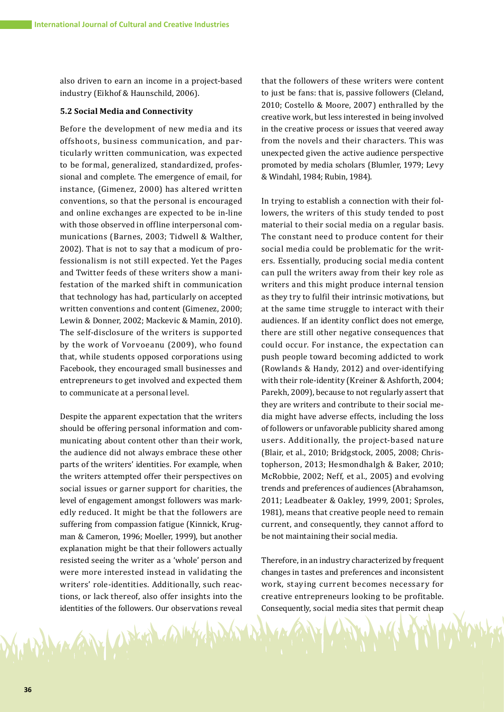also driven to earn an income in a project-based industry (Eikhof & Haunschild, 2006).

#### **5.2 Social Media and Connectivity**

Before the development of new media and its offshoots, business communication, and particularly written communication, was expected to be formal, generalized, standardized, professional and complete. The emergence of email, for instance, (Gimenez, 2000) has altered written conventions, so that the personal is encouraged and online exchanges are expected to be in-line with those observed in offline interpersonal communications (Barnes, 2003; Tidwell & Walther, 2002). That is not to say that a modicum of professionalism is not still expected. Yet the Pages and Twitter feeds of these writers show a manifestation of the marked shift in communication that technology has had, particularly on accepted written conventions and content (Gimenez, 2000; Lewin & Donner, 2002; Mackevic & Mamin, 2010). The self-disclosure of the writers is supported by the work of Vorvoeanu (2009), who found that, while students opposed corporations using Facebook, they encouraged small businesses and entrepreneurs to get involved and expected them to communicate at a personal level.

Despite the apparent expectation that the writers should be offering personal information and communicating about content other than their work, the audience did not always embrace these other parts of the writers' identities. For example, when the writers attempted offer their perspectives on social issues or garner support for charities, the level of engagement amongst followers was markedly reduced. It might be that the followers are suffering from compassion fatigue (Kinnick, Krugman & Cameron, 1996; Moeller, 1999), but another explanation might be that their followers actually resisted seeing the writer as a 'whole' person and were more interested instead in validating the writers' role-identities. Additionally, such reactions, or lack thereof, also offer insights into the identities of the followers. Our observations reveal

U. Prix 1

that the followers of these writers were content to just be fans: that is, passive followers (Cleland, 2010; Costello & Moore, 2007) enthralled by the creative work, but less interested in being involved in the creative process or issues that veered away from the novels and their characters. This was unexpected given the active audience perspective promoted by media scholars (Blumler, 1979; Levy & Windahl, 1984; Rubin, 1984).

In trying to establish a connection with their followers, the writers of this study tended to post material to their social media on a regular basis. The constant need to produce content for their social media could be problematic for the writers. Essentially, producing social media content can pull the writers away from their key role as writers and this might produce internal tension as they try to fulfil their intrinsic motivations, but at the same time struggle to interact with their audiences. If an identity conflict does not emerge, there are still other negative consequences that could occur. For instance, the expectation can push people toward becoming addicted to work (Rowlands & Handy, 2012) and over-identifying with their role-identity (Kreiner & Ashforth, 2004; Parekh, 2009), because to not regularly assert that they are writers and contribute to their social media might have adverse effects, including the loss of followers or unfavorable publicity shared among users. Additionally, the project-based nature (Blair, et al., 2010; Bridgstock, 2005, 2008; Christopherson, 2013; Hesmondhalgh & Baker, 2010; McRobbie, 2002; Neff, et al., 2005) and evolving trends and preferences of audiences (Abrahamson, 2011; Leadbeater & Oakley, 1999, 2001; Sproles, 1981), means that creative people need to remain current, and consequently, they cannot afford to be not maintaining their social media.

Therefore, in an industry characterized by frequent changes in tastes and preferences and inconsistent work, staying current becomes necessary for creative entrepreneurs looking to be profitable. Consequently, social media sites that permit cheap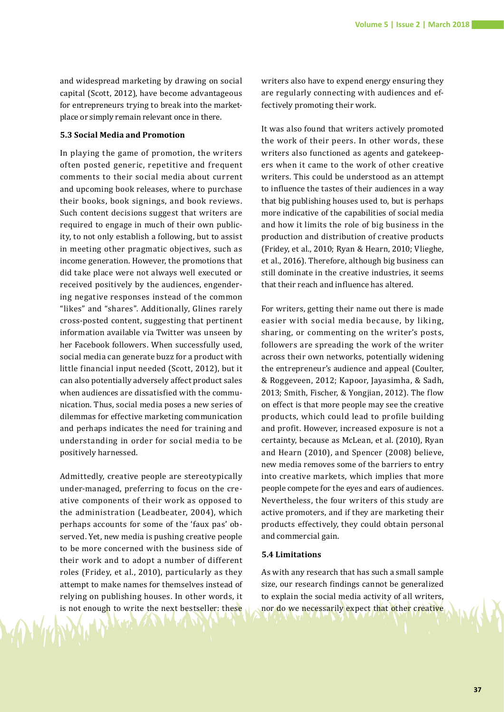and widespread marketing by drawing on social capital (Scott, 2012), have become advantageous for entrepreneurs trying to break into the marketplace or simply remain relevant once in there.

## **5.3 Social Media and Promotion**

In playing the game of promotion, the writers often posted generic, repetitive and frequent comments to their social media about current and upcoming book releases, where to purchase their books, book signings, and book reviews. Such content decisions suggest that writers are required to engage in much of their own publicity, to not only establish a following, but to assist in meeting other pragmatic objectives, such as income generation. However, the promotions that did take place were not always well executed or received positively by the audiences, engendering negative responses instead of the common "likes" and "shares". Additionally, Glines rarely cross-posted content, suggesting that pertinent information available via Twitter was unseen by her Facebook followers. When successfully used, social media can generate buzz for a product with little financial input needed (Scott, 2012), but it can also potentially adversely affect product sales when audiences are dissatisfied with the communication. Thus, social media poses a new series of dilemmas for effective marketing communication and perhaps indicates the need for training and understanding in order for social media to be positively harnessed.

Admittedly, creative people are stereotypically under-managed, preferring to focus on the creative components of their work as opposed to the administration (Leadbeater, 2004), which perhaps accounts for some of the 'faux pas' observed. Yet, new media is pushing creative people to be more concerned with the business side of their work and to adopt a number of different roles (Fridey, et al., 2010), particularly as they attempt to make names for themselves instead of relying on publishing houses. In other words, it is not enough to write the next bestseller: these

writers also have to expend energy ensuring they are regularly connecting with audiences and effectively promoting their work.

It was also found that writers actively promoted the work of their peers. In other words, these writers also functioned as agents and gatekeepers when it came to the work of other creative writers. This could be understood as an attempt to influence the tastes of their audiences in a way that big publishing houses used to, but is perhaps more indicative of the capabilities of social media and how it limits the role of big business in the production and distribution of creative products (Fridey, et al., 2010; Ryan & Hearn, 2010; Vlieghe, et al., 2016). Therefore, although big business can still dominate in the creative industries, it seems that their reach and influence has altered.

For writers, getting their name out there is made easier with social media because, by liking, sharing, or commenting on the writer's posts, followers are spreading the work of the writer across their own networks, potentially widening the entrepreneur's audience and appeal (Coulter, & Roggeveen, 2012; Kapoor, Jayasimha, & Sadh, 2013; Smith, Fischer, & Yongjian, 2012). The flow on effect is that more people may see the creative products, which could lead to profile building and profit. However, increased exposure is not a certainty, because as McLean, et al. (2010), Ryan and Hearn (2010), and Spencer (2008) believe, new media removes some of the barriers to entry into creative markets, which implies that more people compete for the eyes and ears of audiences. Nevertheless, the four writers of this study are active promoters, and if they are marketing their products effectively, they could obtain personal and commercial gain.

#### **5.4 Limitations**

As with any research that has such a small sample size, our research findings cannot be generalized to explain the social media activity of all writers, nor do we necessarily expect that other creative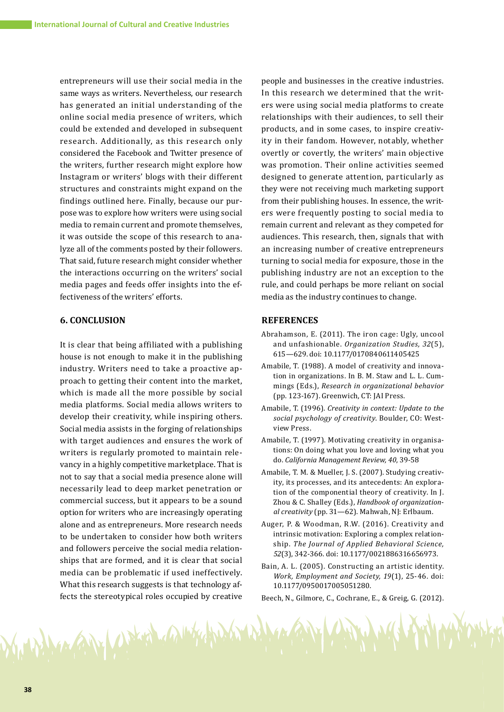entrepreneurs will use their social media in the same ways as writers. Nevertheless, our research has generated an initial understanding of the online social media presence of writers, which could be extended and developed in subsequent research. Additionally, as this research only considered the Facebook and Twitter presence of the writers, further research might explore how Instagram or writers' blogs with their different structures and constraints might expand on the findings outlined here. Finally, because our purpose was to explore how writers were using social media to remain current and promote themselves, it was outside the scope of this research to analyze all of the comments posted by their followers. That said, future research might consider whether the interactions occurring on the writers' social media pages and feeds offer insights into the effectiveness of the writers' efforts.

# **6. CONCLUSION**

It is clear that being affiliated with a publishing house is not enough to make it in the publishing industry. Writers need to take a proactive approach to getting their content into the market, which is made all the more possible by social media platforms. Social media allows writers to develop their creativity, while inspiring others. Social media assists in the forging of relationships with target audiences and ensures the work of writers is regularly promoted to maintain relevancy in a highly competitive marketplace. That is not to say that a social media presence alone will necessarily lead to deep market penetration or commercial success, but it appears to be a sound option for writers who are increasingly operating alone and as entrepreneurs. More research needs to be undertaken to consider how both writers and followers perceive the social media relationships that are formed, and it is clear that social media can be problematic if used ineffectively. What this research suggests is that technology affects the stereotypical roles occupied by creative

MAN Arked Cally

people and businesses in the creative industries. In this research we determined that the writers were using social media platforms to create relationships with their audiences, to sell their products, and in some cases, to inspire creativity in their fandom. However, notably, whether overtly or covertly, the writers' main objective was promotion. Their online activities seemed designed to generate attention, particularly as they were not receiving much marketing support from their publishing houses. In essence, the writers were frequently posting to social media to remain current and relevant as they competed for audiences. This research, then, signals that with an increasing number of creative entrepreneurs turning to social media for exposure, those in the publishing industry are not an exception to the rule, and could perhaps be more reliant on social media as the industry continues to change.

#### **REFERENCES**

- Abrahamson, E. (2011). The iron cage: Ugly, uncool and unfashionable. *Organization Studies, 32*(5), 615—629. doi: 10.1177/0170840611405425
- Amabile, T. (1988). A model of creativity and innovation in organizations. In B. M. Staw and L. L. Cummings (Eds.), *Research in organizational behavior* (pp. 123-167). Greenwich, CT: JAI Press.
- Amabile, T. (1996). *Creativity in context: Update to the social psychology of creativity*. Boulder, CO: Westview Press.
- Amabile, T. (1997). Motivating creativity in organisations: On doing what you love and loving what you do. *California Management Review, 40*, 39-58
- Amabile, T. M. & Mueller, J. S. (2007). Studying creativity, its processes, and its antecedents: An exploration of the componential theory of creativity. In J. Zhou & C. Shalley (Eds.), *Handbook of organization‐ al creativity* (pp. 31—62). Mahwah, NJ: Erlbaum.
- Auger, P. & Woodman, R.W. (2016). Creativity and intrinsic motivation: Exploring a complex relationship. *The Journal of Applied Behavioral Science, 52*(3), 342-366. doi: 10.1177/0021886316656973.
- Bain, A. L. (2005). Constructing an artistic identity. *Work, Employment and Society, 19*(1), 25-46. doi: 10.1177/0950017005051280.

Beech, N., Gilmore, C., Cochrane, E., & Greig, G. (2012).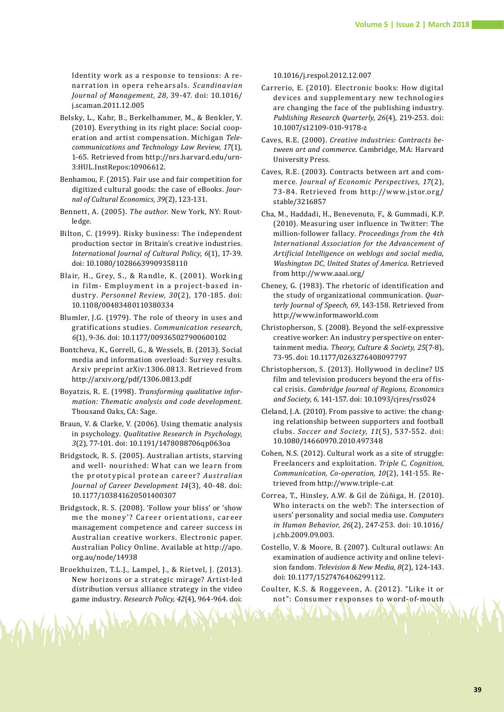Identity work as a response to tensions: A renarration in opera rehearsals. *Scandinavian Journal of Management, 28*, 39-47. doi: 10.1016/ j.scaman.2011.12.005

- Belsky, L., Kahr, B., Berkelhammer, M., & Benkler, Y. (2010). Everything in its right place: Social cooperation and artist compensation. Michigan *Tele‐ communications and Technology Law Review, 17*(1), 1-65. Retrieved from http://nrs.harvard.edu/urn-3:HUL.InstRepos:10906612.
- Benhamou, F. (2015). Fair use and fair competition for digitized cultural goods: the case of eBooks. *Jour‐ nal of Cultural Economics, 39*(2), 123-131.
- Bennett, A. (2005). *The author*. New York, NY: Routledge.
- Bilton, C. (1999). Risky business: The independent production sector in Britain's creative industries. *International Journal of Cultural Policy, 6*(1), 17-39. doi: 10.1080/10286639909358110
- Blair, H., Grey, S., & Randle, K. (2001). Working in film- Employment in a project-based industry. *Personnel Review, 30*(2), 170-185. doi: 10.1108/00483480110380334
- Blumler, J.G. (1979). The role of theory in uses and gratifications studies. *Communication research, 6*(1), 9-36. doi: 10.1177/009365027900600102
- Bontcheva, K., Gorrell, G., & Wessels, B. (2013). Social media and information overload: Survey results. Arxiv preprint arXiv:1306.0813. Retrieved from http://arxiv.org/pdf/1306.0813.pdf
- Boyatzis, R. E. (1998). *Transforming qualitative infor‐ mation: Thematic analysis and code development*. Thousand Oaks, CA: Sage.
- Braun, V. & Clarke, V. (2006). Using thematic analysis in psychology. *Qualitative Research in Psychology, 3*(2), 77-101. doi: 10.1191/1478088706qp063oa
- Bridgstock, R. S. (2005). Australian artists, starving and well- nourished: What can we learn from the prototypical protean career? *Australian Journal of Career Development 14*(3), 40-48. doi: 10.1177/103841620501400307
- Bridgstock, R. S. (2008). 'Follow your bliss' or 'show me the money'? Career orientations, career management competence and career success in Australian creative workers. Electronic paper. Australian Policy Online. Available at http://apo. org.au/node/14938
- Broekhuizen, T.L.J., Lampel, J., & Rietvel, J. (2013). New horizons or a strategic mirage? Artist-led distribution versus alliance strategy in the video game industry. *Research Policy, 42*(4), 964-964. doi:

AUTO 11 Hotel

10.1016/j.respol.2012.12.007

- Carrerio, E. (2010). Electronic books: How digital devices and supplementary new technologies are changing the face of the publishing industry. *Publishing Research Quarterly, 26*(4), 219-253. doi: 10.1007/s12109-010-9178-z
- Caves, R.E. (2000). *Creative industries: Contracts be‐ tween art and commerce*. Cambridge, MA: Harvard University Press.
- Caves, R.E. (2003). Contracts between art and commerce. *Journal of Economic Perspectives, 17*(2), 73-84. Retrieved from http://w w w.jstor.org/ stable/3216857
- Cha, M., Haddadi, H., Benevenuto, F., & Gummadi, K.P. (2010). Measuring user influence in Twitter: The million-follower fallacy. *Proceedings from the 4th International Association for the Advancement of Artificial Intelligence on weblogs and social media, Washington DC, United States of America*. Retrieved from http://www.aaai.org/
- Cheney, G. (1983). The rhetoric of identification and the study of organizational communication. *Quar‐ terly Journal of Speech, 69*, 143-158. Retrieved from http://www.informaworld.com
- Christopherson, S. (2008). Beyond the self-expressive creative worker: An industry perspective on entertainment media. *Theory, Culture & Society, 25*(7-8), 73-95. doi: 10.1177/0263276408097797
- Christopherson, S. (2013). Hollywood in decline? US film and television producers beyond the era of fiscal crisis. *Cambridge Journal of Regions, Economics and Society, 6*, 141-157. doi: 10.1093/cjres/rss024
- Cleland, J.A. (2010). From passive to active: the changing relationship between supporters and football clubs. *Soccer and Society, 11*(5), 537-552. doi: 10.1080/14660970.2010.497348
- Cohen, N.S. (2012). Cultural work as a site of struggle: Freelancers and exploitation. *Triple C, Cognition, Communication, Co-operation, 10*(2), 141-155. Retrieved from http://www.triple-c.at
- Correa, T., Hinsley, A.W. & Gil de Zúñiga, H. (2010). Who interacts on the web?: The intersection of users' personality and social media use. *Computers in Human Behavior, 26*(2), 247-253. doi: 10.1016/ j.chb.2009.09.003.
- Costello, V. & Moore, B. (2007). Cultural outlaws: An examination of audience activity and online television fandom. *Television & New Media, 8*(2), 124-143. doi: 10.1177/1527476406299112.
- Coulter, K.S. & Roggeveen, A. (2012). "Like it or not": Consumer responses to word-of-mouth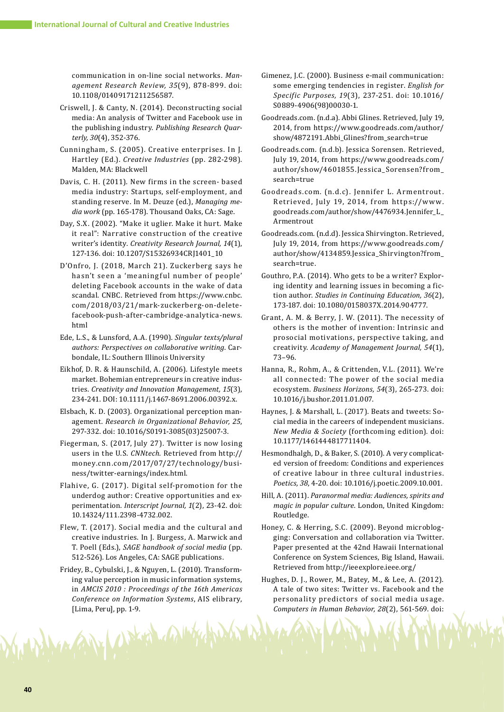communication in on-line social networks. *Man‐ agement Research Review, 35*(9), 878-899. doi: 10.1108/01409171211256587.

- Criswell, J. & Canty, N. (2014). Deconstructing social media: An analysis of Twitter and Facebook use in the publishing industry. *Publishing Research Quar‐ terly, 30*(4), 352-376.
- Cunningham, S. (2005). Creative enterprises. In J. Hartley (Ed.). *Creative Industries* (pp. 282-298). Malden, MA: Blackwell
- Davis, C. H. (2011). New firms in the screen- based media industry: Startups, self-employment, and standing reserve. In M. Deuze (ed.), *Managing me‐ dia work* (pp. 165-178). Thousand Oaks, CA: Sage.
- Day, S.X. (2002). "Make it uglier. Make it hurt. Make it real": Narrative construction of the creative writer's identity. *Creativity Research Journal, 14*(1), 127-136. doi: 10.1207/S15326934CRJ1401\_10
- D'Onfro, J. (2018, March 21). Zuckerberg says he hasn't seen a 'meaningful number of people' deleting Facebook accounts in the wake of data scandal. CNBC. Retrieved from https://www.cnbc. com/2018/03/21/mark-zuckerberg-on-deletefacebook-push-after-cambridge-analytica-news. html
- Ede, L.S., & Lunsford, A.A. (1990). *Singular texts/plural authors: Perspectives on collaborative writing*. Carbondale, IL: Southern Illinois University
- Eikhof, D. R. & Haunschild, A. (2006). Lifestyle meets market. Bohemian entrepreneurs in creative industries. *Creativity and Innovation Management, 15*(3), 234-241. DOI: 10.1111/j.1467-8691.2006.00392.x.
- Elsbach, K. D. (2003). Organizational perception management. *Research in Organizational Behavior, 25*, 297-332. doi: 10.1016/S0191-3085(03)25007-3.
- Fiegerman, S. (2017, July 27). Twitter is now losing users in the U.S. *CNNtech*. Retrieved from http:// money.cnn.com/2017/07/27/technology/business/twitter-earnings/index.html.
- Flahive, G. (2017). Digital self-promotion for the underdog author: Creative opportunities and experimentation. *Interscript Journal, 1*(2), 23-42. doi: 10.14324/111.2398-4732.002.
- Flew, T. (2017). Social media and the cultural and creative industries. In J. Burgess, A. Marwick and T. Poell (Eds.), *SAGE handbook of social media* (pp. 512-526). Los Angeles, CA: SAGE publications.
- Fridey, B., Cybulski, J., & Nguyen, L. (2010). Transforming value perception in music information systems, in *AMCIS 2010 : Proceedings of the 16th Americas Conference on Information Systems*, AIS elibrary, [Lima, Peru], pp. 1-9.

Notif 4

- Gimenez, J.C. (2000). Business e-mail communication: some emerging tendencies in register. *English for Specific Purposes, 19*(3), 237-251. doi: 10.1016/ S0889-4906(98)00030-1.
- Goodreads.com. (n.d.a). Abbi Glines. Retrieved, July 19, 2014, from https://www.goodreads.com/author/ show/4872191.Abbi\_Glines?from\_search=true
- Goodreads.com. (n.d.b). Jessica Sorensen. Retrieved, July 19, 2014, from https://www.goodreads.com/ author/show/4601855.Jessica\_Sorensen?from\_ search=true
- Goodreads.com. (n.d.c). Jennifer L. Armentrout. Retrieved, July 19, 2014, from https://www. goodreads.com/author/show/4476934.Jennifer\_L\_ Armentrout
- Goodreads.com. (n.d.d). Jessica Shirvington. Retrieved, July 19, 2014, from https://www.goodreads.com/ author/show/4134859.Jessica\_Shirvington?from\_ search=true.
- Gouthro, P.A. (2014). Who gets to be a writer? Exploring identity and learning issues in becoming a fiction author. *Studies in Continuing Education, 36*(2), 173-187. doi: 10.1080/0158037X.2014.904777.
- Grant, A. M. & Berry, J. W. (2011). The necessity of others is the mother of invention: Intrinsic and prosocial motivations, perspective taking, and creativity. *Academy of Management Journal, 54*(1), 73–96.
- Hanna, R., Rohm, A., & Crittenden, V.L. (2011). We're all connected: The power of the social media ecosystem. *Business Horizons, 54*(3), 265-273. doi: 10.1016/j.bushor.2011.01.007.
- Haynes, J. & Marshall, L. (2017). Beats and tweets: Social media in the careers of independent musicians. *New Media & Society* (forthcoming edition). doi: 10.1177/1461444817711404.
- Hesmondhalgh, D., & Baker, S. (2010). A very complicated version of freedom: Conditions and experiences of creative labour in three cultural industries. *Poetics, 38*, 4-20. doi: 10.1016/j.poetic.2009.10.001.
- Hill, A. (2011). *Paranormal media: Audiences, spirits and magic in popular culture*. London, United Kingdom: Routledge.
- Honey, C. & Herring, S.C. (2009). Beyond microblogging: Conversation and collaboration via Twitter. Paper presented at the 42nd Hawaii International Conference on System Sciences, Big Island, Hawaii. Retrieved from http://ieeexplore.ieee.org/
- Hughes, D. J., Rower, M., Batey, M., & Lee, A. (2012). A tale of two sites: Twitter vs. Facebook and the personality predictors of social media usage. *Computers in Human Behavior, 28*(2), 561-569. doi: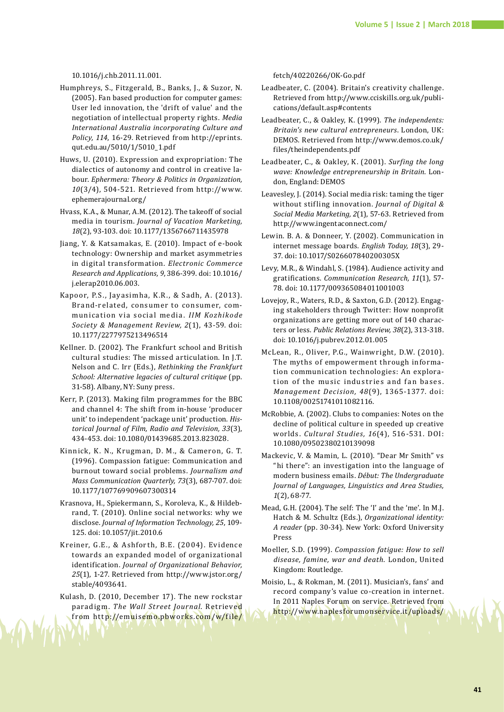10.1016/j.chb.2011.11.001.

- Humphreys, S., Fitzgerald, B., Banks, J., & Suzor, N. (2005). Fan based production for computer games: User led innovation, the 'drift of value' and the negotiation of intellectual property rights. *Media International Australia incorporating Culture and Policy, 114*, 16-29. Retrieved from http://eprints. qut.edu.au/5010/1/5010\_1.pdf
- Huws, U. (2010). Expression and expropriation: The dialectics of autonomy and control in creative labour. *Ephermera: Theory & Politics in Organization, 10*(3/4), 504-521. Retrieved from http://www. ephemerajournal.org/
- Hvass, K.A., & Munar, A.M. (2012). The takeoff of social media in tourism. *Journal of Vacation Marketing, 18*(2), 93-103. doi: 10.1177/1356766711435978
- Jiang, Y. & Katsamakas, E. (2010). Impact of e-book technology: Ownership and market asymmetries in digital transformation. *Electronic Commerce Research and Applications, 9*, 386-399. doi: 10.1016/ j.elerap2010.06.003.
- Kapoor, P.S., Jayasimha, K.R., & Sadh, A . (2013). Brand-related, consumer to consumer, communication via social media. *IIM Kozhikode Society & Management Review, 2*(1), 43-59. doi: 10.1177/2277975213496514
- Kellner. D. (2002). The Frankfurt school and British cultural studies: The missed articulation. In J.T. Nelson and C. Irr (Eds.), *Rethinking the Frankfurt School: Alternative legacies of cultural critique* (pp. 31-58). Albany, NY: Suny press.
- Kerr, P. (2013). Making film programmes for the BBC and channel 4: The shift from in-house 'producer unit' to independent 'package unit' production. *His‐ torical Journal of Film, Radio and Television, 33*(3), 434-453. doi: 10.1080/01439685.2013.823028.
- Kinnick, K. N., Krugman, D. M., & Cameron, G. T. (1996). Compassion fatigue: Communication and burnout toward social problems. *Journalism and Mass Communication Quarterly, 73*(3), 687-707. doi: 10.1177/107769909607300314
- Krasnova, H., Spiekermann, S., Koroleva, K., & Hildebrand, T. (2010). Online social networks: why we disclose. *Journal of Information Technology, 25*, 109- 125. doi: 10.1057/jit.2010.6
- Kreiner, G.E., & Ashforth, B.E. (2004). Evidence towards an expanded model of organizational identification. *Journal of Organizational Behavior, 25*(1), 1-27. Retrieved from http://www.jstor.org/ stable/4093641.
- Kulash, D. (2010, December 17). The new rockstar paradigm. *The Wall Street Journal*. Retrieved from http<mark>://emuisemo.pbworks.com/w/file/</mark>

fetch/40220266/OK-Go.pdf

- Leadbeater, C. (2004). Britain's creativity challenge. Retrieved from http://www.cciskills.org.uk/publications/default.asp#contents
- Leadbeater, C., & Oakley, K. (1999). *The independents: Britain's new cultural entrepreneurs*. London, UK: DEMOS. Retrieved from http://www.demos.co.uk/ files/theindependents.pdf
- Leadbeater, C., & Oakley, K. (2001). *Surfing the long wave: Knowledge entrepreneurship in Britain*. London, England: DEMOS
- Leavesley, J. (2014). Social media risk: taming the tiger without stifling innovation. *Journal of Digital & Social Media Marketing, 2*(1), 57-63. Retrieved from http://www.ingentaconnect.com/
- Lewin. B. A. & Donneer, Y. (2002). Communication in internet message boards. *English Today, 18*(3), 29- 37. doi: 10.1017/S026607840200305X
- Levy, M.R., & Windahl, S. (1984). Audience activity and gratifications. *Communication Research, 11*(1), 57- 78. doi: 10.1177/009365084011001003
- Lovejoy, R., Waters, R.D., & Saxton, G.D. (2012). Engaging stakeholders through Twitter: How nonprofit organizations are getting more out of 140 characters or less. *Public Relations Review, 38*(2), 313-318. doi: 10.1016/j.pubrev.2012.01.005
- McLean, R., Oliver, P.G., Wainwright, D.W. (2010). The myths of empowerment through information communication technologies: An exploration of the music industries and fan bases. *Management Decision, 48*(9), 1365-1377. doi: 10.1108/00251741011082116.
- McRobbie, A. (2002). Clubs to companies: Notes on the decline of political culture in speeded up creative worlds. *Cultural Studies, 16*(4), 516-531. DOI: 10.1080/09502380210139098
- Mackevic, V. & Mamin, L. (2010). "Dear Mr Smith" vs "hi there": an investigation into the language of modern business emails. *Début: The Undergraduate Journal of Languages, Linguistics and Area Studies, 1*(2), 68-77.
- Mead, G.H. (2004). The self: The 'I' and the 'me'. In M.J. Hatch & M. Schultz (Eds.), *Organizational identity: A reader* (pp. 30-34). New York: Oxford University Press
- Moeller, S.D. (1999). *Compassion fatigue: How to sell disease, famine, war and death*. London, United Kingdom: Routledge.
- Moisio, L., & Rokman, M. (2011). Musician's, fans' and record company's value co-creation in internet. In 2011 Naples Forum on service. Retrieved from http://www.naplesforumonservice.it/uploads/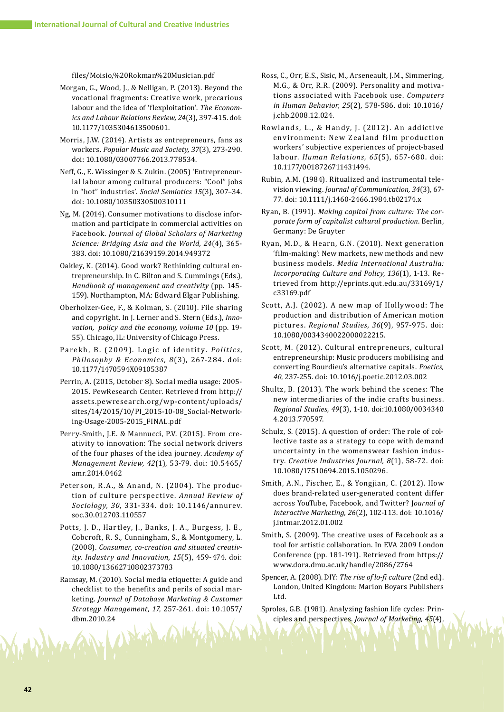files/Moisio,%20Rokman%20Musician.pdf

- Morgan, G., Wood, J., & Nelligan, P. (2013). Beyond the vocational fragments: Creative work, precarious labour and the idea of 'flexploitation'. *The Econom‐ ics and Labour Relations Review, 24*(3), 397-415. doi: 10.1177/1035304613500601.
- Morris, J.W. (2014). Artists as entrepreneurs, fans as workers. *Popular Music and Society, 37*(3), 273-290. doi: 10.1080/03007766.2013.778534.
- Neff, G., E. Wissinger & S. Zukin. (2005) 'Entrepreneurial labour among cultural producers: "Cool" jobs in "hot" industries'. *Social Semiotics 15*(3), 307–34. doi: 10.1080/10350330500310111
- Ng, M. (2014). Consumer motivations to disclose information and participate in commercial activities on Facebook. *Journal of Global Scholars of Marketing Science: Bridging Asia and the World, 24*(4), 365- 383. doi: 10.1080/21639159.2014.949372
- Oakley, K. (2014). Good work? Rethinking cultural entrepreneurship. In C. Bilton and S. Cummings (Eds.), *Handbook of management and creativity* (pp. 145- 159). Northampton, MA: Edward Elgar Publishing.
- Oberholzer-Gee, F., & Kolman, S. (2010). File sharing and copyright. In J. Lerner and S. Stern (Eds.), *Inno‐ vation, policy and the economy, volume 10* (pp. 19- 55). Chicago, IL: University of Chicago Press.
- Parekh, B. (2009). Logic of identity. *Politics*, *Philosophy & Economics, 8*(3), 267-284. doi: 10.1177/1470594X09105387
- Perrin, A. (2015, October 8). Social media usage: 2005- 2015. PewResearch Center. Retrieved from http:// assets.pewresearch.org/wp-content/uploads/ sites/14/2015/10/PI\_2015-10-08\_Social-Networking-Usage-2005-2015\_FINAL.pdf
- Perry-Smith, J.E. & Mannucci, P.V. (2015). From creativity to innovation: The social network drivers of the four phases of the idea journey. *Academy of Management Review, 42*(1), 53-79. doi: 10.5465/ amr.2014.0462
- Peterson, R.A., & Anand, N. (2004). The production of culture perspective. *Annual Review of Sociology, 30*, 331-334. doi: 10.1146/annurev. soc.30.012703.110557
- Potts, J. D., Hartley, J., Banks, J. A., Burgess, J. E., Cobcroft, R. S., Cunningham, S., & Montgomery, L. (2008). *Consumer, co-creation and situated creativ‐ ity. Industry and Innovation, 15*(5), 459-474. doi: 10.1080/13662710802373783
- Ramsay, M. (2010). Social media etiquette: A guide and checklist to the benefits and perils of social marketing. *Journal of Database Marketing & Customer Strategy Management, 17*, 257-261. doi: 10.1057/ dbm.2010.24
- Ross, C., Orr, E.S., Sisic, M., Arseneault, J.M., Simmering, M.G., & Orr, R.R. (2009). Personality and motivations associated with Facebook use. *Computers in Human Behavior, 25*(2), 578-586. doi: 10.1016/ j.chb.2008.12.024.
- Rowlands, L., & Handy, J. (2012). An addictive environment: New Zealand film production workers' subjective experiences of project-based labour. *Human Relations, 65*(5), 657-680. doi: 10.1177/0018726711431494.
- Rubin, A.M. (1984). Ritualized and instrumental television viewing. *Journal of Communication, 34*(3), 67- 77. doi: 10.1111/j.1460-2466.1984.tb02174.x
- Ryan, B. (1991). *Making capital from culture: The cor‐ porate form of capitalist cultural production*. Berlin, Germany: De Gruyter
- Ryan, M.D., & Hearn, G.N. (2010). Next generation 'film-making': New markets, new methods and new business models. *Media International Australia: Incorporating Culture and Policy*, *136*(1), 1-13. Retrieved from http://eprints.qut.edu.au/33169/1/ c33169.pdf
- Scott, A.J. (2002). A new map of Holly wood: The production and distribution of American motion pictures. *Regional Studies, 36*(9), 957-975. doi: 10.1080/0034340022000022215.
- Scott, M. (2012). Cultural entrepreneurs, cultural entrepreneurship: Music producers mobilising and converting Bourdieu's alternative capitals. *Poetics, 40*, 237-255. doi: 10.1016/j.poetic.2012.03.002
- Shultz, B. (2013). The work behind the scenes: The new intermediaries of the indie crafts business. *Regional Studies, 49*(3), 1-10. doi:10.1080/0034340 4.2013.770597.
- Schulz, S. (2015). A question of order: The role of collective taste as a strategy to cope with demand uncertainty in the womenswear fashion industry. *Creative Industries Journal, 8*(1), 58-72. doi: 10.1080/17510694.2015.1050296.
- Smith, A.N., Fischer, E., & Yongjian, C. (2012). How does brand-related user-generated content differ across YouTube, Facebook, and Twitter? J*ournal of Interactive Marketing, 26*(2), 102-113. doi: 10.1016/ j.intmar.2012.01.002
- Smith, S. (2009). The creative uses of Facebook as a tool for artistic collaboration. In EVA 2009 London Conference (pp. 181-191). Retrieved from https:// www.dora.dmu.ac.uk/handle/2086/2764
- Spencer, A. (2008). DIY: *The rise of lo-fi culture* (2nd ed.). London, United Kingdom: Marion Boyars Publishers Ltd.
- Sproles, G.B. (1981). Analyzing fashion life cycles: Principles and perspectives. *Journal of Marketing, 45*(4),